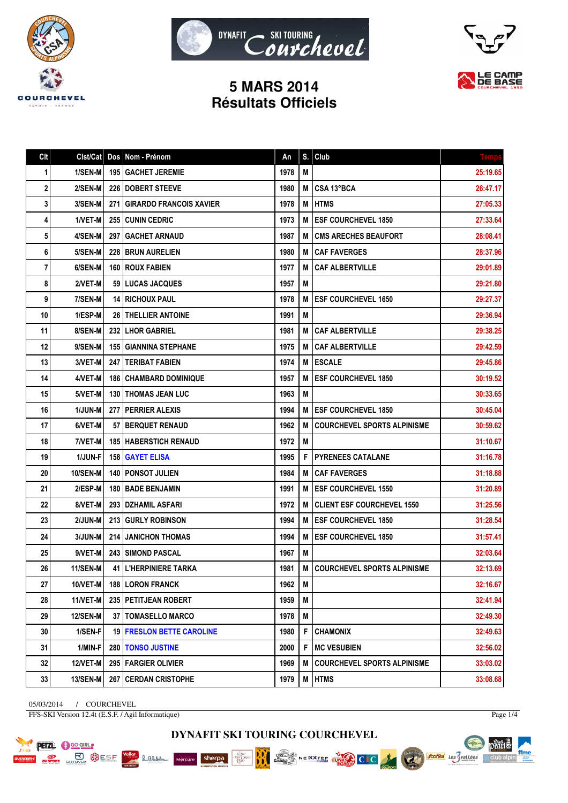





## **5 MARS 2014 Résultats Officiels**

| Clt | Clst/Cat        | Dos | Nom - Prénom                     | An   | S. | Club                               | <b>Temps</b> |
|-----|-----------------|-----|----------------------------------|------|----|------------------------------------|--------------|
| 1   | 1/SEN-M         |     | <b>195   GACHET JEREMIE</b>      | 1978 | M  |                                    | 25:19.65     |
| 2   | 2/SEN-M         |     | <b>226   DOBERT STEEVE</b>       | 1980 | M  | <b>CSA 13°BCA</b>                  | 26:47.17     |
| 3   | 3/SEN-M         | 271 | <b>GIRARDO FRANCOIS XAVIER</b>   | 1978 | M  | <b>HTMS</b>                        | 27:05.33     |
| 4   | 1/VET-M         |     | 255 CUNIN CEDRIC                 | 1973 | M  | <b>ESF COURCHEVEL 1850</b>         | 27:33.64     |
| 5   | 4/SEN-M         | 297 | <b>GACHET ARNAUD</b>             | 1987 | М  | <b>CMS ARECHES BEAUFORT</b>        | 28:08.41     |
| 6   | 5/SEN-M         |     | <b>228 I BRUN AURELIEN</b>       | 1980 | M  | <b>CAF FAVERGES</b>                | 28:37.96     |
| 7   | 6/SEN-M         |     | <b>160 I ROUX FABIEN</b>         | 1977 | M  | <b>CAF ALBERTVILLE</b>             | 29:01.89     |
| 8   | 2/VET-M         |     | 59 LUCAS JACQUES                 | 1957 | M  |                                    | 29:21.80     |
| 9   | 7/SEN-M         |     | <b>14   RICHOUX PAUL</b>         | 1978 | M  | <b>ESF COURCHEVEL 1650</b>         | 29:27.37     |
| 10  | 1/ESP-M         |     | <b>26   THELLIER ANTOINE</b>     | 1991 | M  |                                    | 29:36.94     |
| 11  | 8/SEN-M         |     | 232   LHOR GABRIEL               | 1981 | M  | <b>CAF ALBERTVILLE</b>             | 29:38.25     |
| 12  | 9/SEN-M         |     | <b>155 GIANNINA STEPHANE</b>     | 1975 | M  | <b>CAF ALBERTVILLE</b>             | 29:42.59     |
| 13  | 3/VET-M         |     | <b>247   TERIBAT FABIEN</b>      | 1974 | M  | <b>ESCALE</b>                      | 29:45.86     |
| 14  | 4/VET-M         |     | <b>186   CHAMBARD DOMINIQUE</b>  | 1957 | M  | <b>ESF COURCHEVEL 1850</b>         | 30:19.52     |
| 15  | 5/VET-M         |     | <b>130   THOMAS JEAN LUC</b>     | 1963 | M  |                                    | 30:33.65     |
| 16  | 1/JUN-M         |     | 277   PERRIER ALEXIS             | 1994 | M  | <b>ESF COURCHEVEL 1850</b>         | 30:45.04     |
| 17  | 6/VET-M         |     | 57 BERQUET RENAUD                | 1962 | M  | <b>COURCHEVEL SPORTS ALPINISME</b> | 30:59.62     |
| 18  | 7/VET-M         |     | <b>185   HABERSTICH RENAUD</b>   | 1972 | М  |                                    | 31:10.67     |
| 19  | 1/JUN-F         |     | <b>158   GAYET ELISA</b>         | 1995 | F  | <b>PYRENEES CATALANE</b>           | 31:16.78     |
| 20  | 10/SEN-M        |     | <b>140 PONSOT JULIEN</b>         | 1984 | M  | <b>CAF FAVERGES</b>                | 31:18.88     |
| 21  | 2/ESP-M         |     | <b>180   BADE BENJAMIN</b>       | 1991 | M  | <b>ESF COURCHEVEL 1550</b>         | 31:20.89     |
| 22  | 8/VET-M         |     | 293   DZHAMIL ASFARI             | 1972 | M  | <b>CLIENT ESF COURCHEVEL 1550</b>  | 31:25.56     |
| 23  | 2/JUN-M         |     | 213 GURLY ROBINSON               | 1994 | M  | <b>ESF COURCHEVEL 1850</b>         | 31:28.54     |
| 24  | 3/JUN-M         | 214 | <b>JANICHON THOMAS</b>           | 1994 | M  | <b>ESF COURCHEVEL 1850</b>         | 31:57.41     |
| 25  | 9/VET-M         |     | <b>243 SIMOND PASCAL</b>         | 1967 | M  |                                    | 32:03.64     |
| 26  | <b>11/SEN-M</b> |     | <b>41 I L'HERPINIERE TARKA</b>   | 1981 | M  | <b>COURCHEVEL SPORTS ALPINISME</b> | 32:13.69     |
| 27  | <b>10/VET-M</b> |     | <b>188 LORON FRANCK</b>          | 1962 | M  |                                    | 32:16.67     |
| 28  | 11/VET-M        |     | 235 PETITJEAN ROBERT             | 1959 | M  |                                    | 32:41.94     |
| 29  | <b>12/SEN-M</b> |     | <b>37   TOMASELLO MARCO</b>      | 1978 | M  |                                    | 32:49.30     |
| 30  | 1/SEN-F         |     | <b>19 FRESLON BETTE CAROLINE</b> | 1980 | F  | <b>CHAMONIX</b>                    | 32:49.63     |
| 31  | 1/MIN-F         |     | 280   TONSO JUSTINE              | 2000 | F  | <b>MC VESUBIEN</b>                 | 32:56.02     |
| 32  | 12/VET-M        |     | 295   FARGIER OLIVIER            | 1969 | M  | <b>COURCHEVEL SPORTS ALPINISME</b> | 33:03.02     |
| 33  | 13/SEN-M        |     | 267 CERDAN CRISTOPHE             | 1979 | M  | <b>HTMS</b>                        | 33:08.68     |

05/03/2014 / COURCHEVEL FFS-SKI Version 12.4t (E.S.F. / Agil Informatique)

**PETZL C** GO-GIRL

**PORT BUSE OF STRANGE SESP** 

**Lame** 

sherpa

Mercure

**MAG** 

Page 1/4





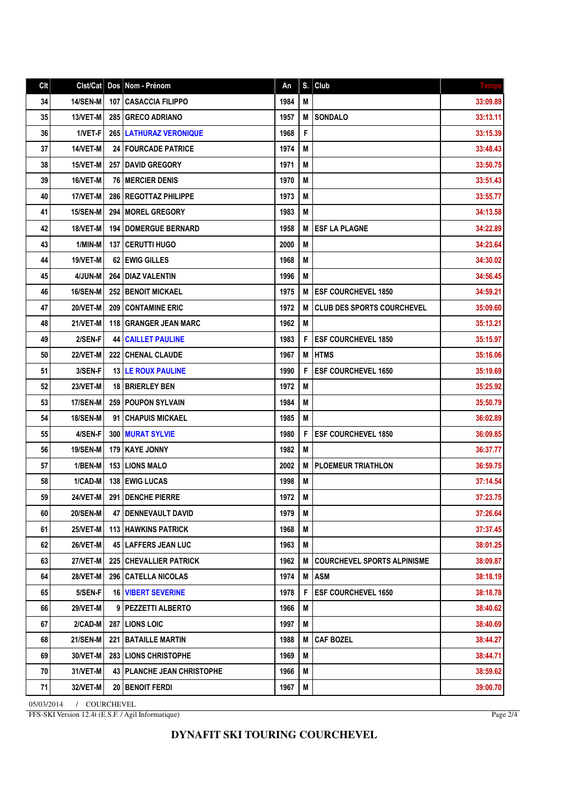| Clt | Clst/Cat        | Dos   | Nom - Prénom                        | An   | S. | Club                               | <b>Temps</b> |
|-----|-----------------|-------|-------------------------------------|------|----|------------------------------------|--------------|
| 34  | <b>14/SEN-M</b> |       | 107 CASACCIA FILIPPO                | 1984 | M  |                                    | 33:09.89     |
| 35  | 13/VET-M        |       | 285 GRECO ADRIANO                   | 1957 | M  | <b>SONDALO</b>                     | 33:13.11     |
| 36  | 1/VET-F         |       | <b>265   LATHURAZ VERONIQUE</b>     | 1968 | F  |                                    | 33:15.39     |
| 37  | 14/VET-M        |       | <b>24 FOURCADE PATRICE</b>          | 1974 | M  |                                    | 33:48.43     |
| 38  | 15/VET-M        |       | <b>257   DAVID GREGORY</b>          | 1971 | M  |                                    | 33:50.75     |
| 39  | 16/VET-M        |       | <b>76   MERCIER DENIS</b>           | 1970 | M  |                                    | 33:51.43     |
| 40  | 17/VET-M        |       | 286 REGOTTAZ PHILIPPE               | 1973 | M  |                                    | 33:55.77     |
| 41  | 15/SEN-M        | 294   | <b>MOREL GREGORY</b>                | 1983 | М  |                                    | 34:13.58     |
| 42  | 18/VET-M        | 194   | <b>DOMERGUE BERNARD</b>             | 1958 | M  | <b>ESF LA PLAGNE</b>               | 34:22.89     |
| 43  | 1/MIN-M         |       | <b>137   CERUTTI HUGO</b>           | 2000 | M  |                                    | 34:23.64     |
| 44  | 19/VET-M        |       | 62 EWIG GILLES                      | 1968 | M  |                                    | 34:30.02     |
| 45  | 4/JUN-M         | 264 I | <b>DIAZ VALENTIN</b>                | 1996 | M  |                                    | 34:56.45     |
| 46  | <b>16/SEN-M</b> |       | 252 BENOIT MICKAEL                  | 1975 | M  | <b>ESF COURCHEVEL 1850</b>         | 34:59.21     |
| 47  | 20/VET-M        | 209 I | <b>CONTAMINE ERIC</b>               | 1972 | M  | <b>CLUB DES SPORTS COURCHEVEL</b>  | 35:09.60     |
| 48  | 21/VET-M        |       | 118 GRANGER JEAN MARC               | 1962 | M  |                                    | 35:13.21     |
| 49  | 2/SEN-F         | 44    | <b>CAILLET PAULINE</b>              | 1983 | F  | <b>ESF COURCHEVEL 1850</b>         | 35:15.97     |
| 50  | 22/VET-M        |       | 222 CHENAL CLAUDE                   | 1967 | M  | <b>HTMS</b>                        | 35:16.06     |
| 51  | 3/SEN-F         |       | <b>13   LE ROUX PAULINE</b>         | 1990 | F  | <b>ESF COURCHEVEL 1650</b>         | 35:19.69     |
| 52  | 23/VET-M        |       | <b>18   BRIERLEY BEN</b>            | 1972 | M  |                                    | 35:25.92     |
| 53  | <b>17/SEN-M</b> |       | <b>259 POUPON SYLVAIN</b>           | 1984 | M  |                                    | 35:50.79     |
| 54  | <b>18/SEN-M</b> | 91    | <b>CHAPUIS MICKAEL</b>              | 1985 | М  |                                    | 36:02.89     |
| 55  | 4/SEN-F         |       | <b>300 MURAT SYLVIE</b>             | 1980 | F  | <b>ESF COURCHEVEL 1850</b>         | 36:09.85     |
| 56  | <b>19/SEN-M</b> |       | 179 KAYE JONNY                      | 1982 | M  |                                    | 36:37.77     |
| 57  | 1/BEN-M         |       | <b>153 LIONS MALO</b>               | 2002 | M  | <b>PLOEMEUR TRIATHLON</b>          | 36:59.75     |
| 58  | 1/CAD-M         |       | 138 EWIG LUCAS                      | 1998 | M  |                                    | 37:14.54     |
| 59  | 24/VET-M        | 291   | <b>DENCHE PIERRE</b>                | 1972 | M  |                                    | 37:23.75     |
| 60  | <b>20/SEN-M</b> |       | 47   DENNEVAULT DAVID               | 1979 | M  |                                    | 37:26.64     |
| 61  | 25/VET-M        |       | <b>113 HAWKINS PATRICK</b>          | 1968 | M  |                                    | 37:37.45     |
| 62  | 26/VET-M        |       | <b>45   LAFFERS JEAN LUC</b>        | 1963 | M  |                                    | 38:01.25     |
| 63  | 27/VET-M        |       | <b>225 CHEVALLIER PATRICK</b>       | 1962 | M  | <b>COURCHEVEL SPORTS ALPINISME</b> | 38:09.87     |
| 64  | 28/VET-M        |       | 296   CATELLA NICOLAS               | 1974 | M  | <b>ASM</b>                         | 38:18.19     |
| 65  | 5/SEN-F         |       | <b>16 VIBERT SEVERINE</b>           | 1978 | F  | <b>ESF COURCHEVEL 1650</b>         | 38:18.78     |
| 66  | 29/VET-M        |       | 9   PEZZETTI ALBERTO                | 1966 | M  |                                    | 38:40.62     |
| 67  | 2/CAD-M         |       | <b>287   LIONS LOIC</b>             | 1997 | M  |                                    | 38:40.69     |
| 68  | 21/SEN-M        |       | <b>221 BATAILLE MARTIN</b>          | 1988 | M  | <b>CAF BOZEL</b>                   | 38:44.27     |
| 69  | 30/VET-M        |       | 283 LIONS CHRISTOPHE                | 1969 | M  |                                    | 38:44.71     |
| 70  | 31/VET-M        |       | <b>43   PLANCHE JEAN CHRISTOPHE</b> | 1966 | M  |                                    | 38:59.62     |
| 71  | 32/VET-M        |       | <b>20   BENOIT FERDI</b>            | 1967 | M  |                                    | 39:00.70     |
|     |                 |       |                                     |      |    |                                    |              |

05/03/2014 / COURCHEVEL FFS-SKI Version 12.4t (E.S.F. / Agil Informatique)

Page 2/4

## **DYNAFIT SKI TOURING COURCHEVEL**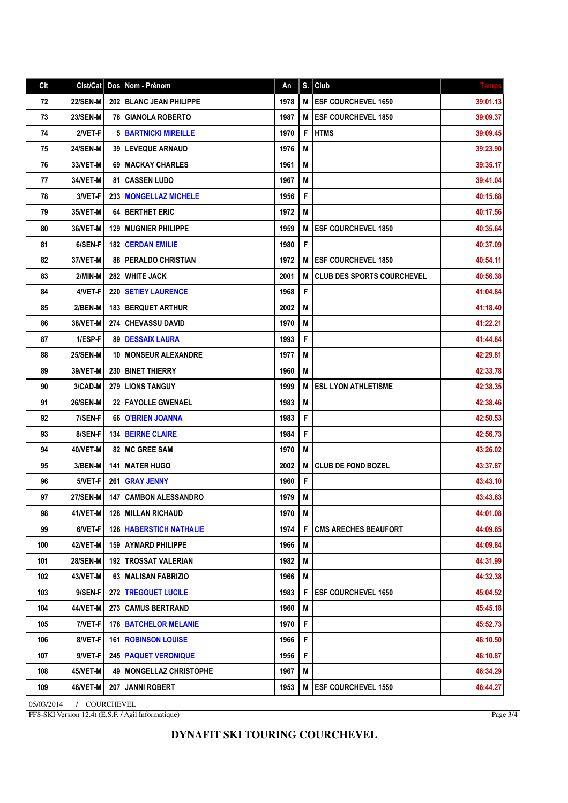| Clt | Clst/Cat        | Dos  | Nom - Prénom                     | An   | S. | Club                              | <b>Temps</b> |
|-----|-----------------|------|----------------------------------|------|----|-----------------------------------|--------------|
| 72  | <b>22/SEN-M</b> |      | <b>202 IBLANC JEAN PHILIPPE</b>  | 1978 | M  | <b>ESF COURCHEVEL 1650</b>        | 39:01.13     |
| 73  | <b>23/SEN-M</b> |      | <b>78 GIANOLA ROBERTO</b>        | 1987 | M  | <b>ESF COURCHEVEL 1850</b>        | 39:09.37     |
| 74  | 2/VET-F         | 5    | <b>BARTNICKI MIREILLE</b>        | 1970 | F  | <b>HTMS</b>                       | 39:09.45     |
| 75  | <b>24/SEN-M</b> |      | <b>39   LEVEQUE ARNAUD</b>       | 1976 | M  |                                   | 39:23.90     |
| 76  | 33/VET-M        |      | 69   MACKAY CHARLES              | 1961 | M  |                                   | 39:35.17     |
| 77  | 34/VET-M        | 81 I | <b>CASSEN LUDO</b>               | 1967 | M  |                                   | 39:41.04     |
| 78  | 3/VET-F         | 233  | <b>MONGELLAZ MICHELE</b>         | 1956 | F  |                                   | 40:15.68     |
| 79  | 35/VET-M        | 64   | <b>BERTHET ERIC</b>              | 1972 | M  |                                   | 40:17.56     |
| 80  | 36/VET-M        | 129  | <b>MUGNIER PHILIPPE</b>          | 1959 | М  | <b>ESF COURCHEVEL 1850</b>        | 40:35.64     |
| 81  | 6/SEN-F         | 182  | <b>CERDAN EMILIE</b>             | 1980 | F  |                                   | 40:37.09     |
| 82  | 37/VET-M        |      | <b>88   PERALDO CHRISTIAN</b>    | 1972 | М  | <b>ESF COURCHEVEL 1850</b>        | 40:54.11     |
| 83  | 2/MIN-M         |      | <b>282 I WHITE JACK</b>          | 2001 | M  | <b>CLUB DES SPORTS COURCHEVEL</b> | 40:56.38     |
| 84  | 4/VET-F         | 220  | <b>SETIEY LAURENCE</b>           | 1968 | F  |                                   | 41:04.84     |
| 85  | 2/BEN-M         | 183  | <b>BERQUET ARTHUR</b>            | 2002 | M  |                                   | 41:18.40     |
| 86  | 38/VET-M        | 274  | <b>CHEVASSU DAVID</b>            | 1970 | M  |                                   | 41:22.21     |
| 87  | 1/ESP-F         | 89   | <b>DESSAIX LAURA</b>             | 1993 | F  |                                   | 41:44.84     |
| 88  | <b>25/SEN-M</b> | 10   | <b>MONSEUR ALEXANDRE</b>         | 1977 | M  |                                   | 42:29.81     |
| 89  | 39/VET-M        | 230  | <b>BINET THIERRY</b>             | 1960 | M  |                                   | 42:33.78     |
| 90  | 3/CAD-M         | 279  | <b>LIONS TANGUY</b>              | 1999 | М  | <b>ESL LYON ATHLETISME</b>        | 42:38.35     |
| 91  | <b>26/SEN-M</b> |      | 22 FAYOLLE GWENAEL               | 1983 | M  |                                   | 42:38.46     |
| 92  | 7/SEN-F         | 66   | <b>O'BRIEN JOANNA</b>            | 1983 | F  |                                   | 42:50.53     |
| 93  | 8/SEN-F         | 134  | <b>BEIRNE CLAIRE</b>             | 1984 | F  |                                   | 42:56.73     |
| 94  | 40/VET-M        |      | <b>82   MC GREE SAM</b>          | 1970 | М  |                                   | 43:26.02     |
| 95  | 3/BEN-M         | 141  | <b>MATER HUGO</b>                | 2002 | M  | <b>CLUB DE FOND BOZEL</b>         | 43:37.87     |
| 96  | 5/VET-F         | 261  | <b>GRAY JENNY</b>                | 1960 | F  |                                   | 43:43.10     |
| 97  | <b>27/SEN-M</b> | 147  | <b>CAMBON ALESSANDRO</b>         | 1979 | M  |                                   | 43:43.63     |
| 98  | 41/VET-M        |      | <b>128   MILLAN RICHAUD</b>      | 1970 | M  |                                   | 44:01.08     |
| 99  | 6/VET-F         |      | <b>126   HABERSTICH NATHALIE</b> | 1974 | F  | <b>CMS ARECHES BEAUFORT</b>       | 44:09.65     |
| 100 | <b>42/VET-M</b> |      | 159   AYMARD PHILIPPE            | 1966 | M  |                                   | 44:09.84     |
| 101 | <b>28/SEN-M</b> |      | <b>192 ITROSSAT VALERIAN</b>     | 1982 | M  |                                   | 44:31.99     |
| 102 | 43/VET-M        |      | 63   MALISAN FABRIZIO            | 1966 | M  |                                   | 44:32.38     |
| 103 | 9/SEN-F         |      | <b>272 TREGOUET LUCILE</b>       | 1983 | F  | <b>ESF COURCHEVEL 1650</b>        | 45:04.52     |
| 104 | 44/VET-M        | 273  | <b>CAMUS BERTRAND</b>            | 1960 | M  |                                   | 45:45.18     |
| 105 | 7/VET-F         |      | <b>176 BATCHELOR MELANIE</b>     | 1970 | F  |                                   | 45:52.73     |
| 106 | 8/VET-F         |      | <b>161   ROBINSON LOUISE</b>     | 1966 | F  |                                   | 46:10.50     |
| 107 | 9/VET-F         |      | <b>245   PAQUET VERONIQUE</b>    | 1956 | F  |                                   | 46:10.87     |
| 108 | 45/VET-M        | 49 I | <b>MONGELLAZ CHRISTOPHE</b>      | 1967 | M  |                                   | 46:34.29     |
| 109 | 46/VET-M        | 207  | <b>JANNI ROBERT</b>              | 1953 | M  | <b>ESF COURCHEVEL 1550</b>        | 46:44.27     |

05/03/2014 / COURCHEVEL FFS-SKI Version 12.4t (E.S.F. / Agil Informatique)

Page 3/4

## **DYNAFIT SKI TOURING COURCHEVEL**